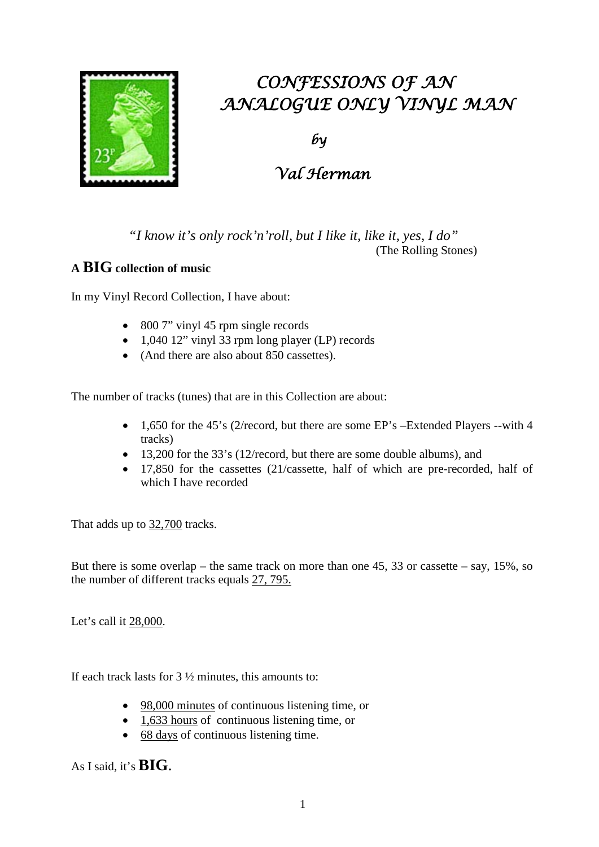

# *CONFESSIONS OF AN ANALOGUE ONLY VINYL MAN*

 *by* 

 *Val Herman* 

 *"I know it's only rock'n'roll, but I like it, like it, yes, I do"* (The Rolling Stones)

# **A BIG collection of music**

In my Vinyl Record Collection, I have about:

- 800 7" vinyl 45 rpm single records
- 1,040 12" vinyl 33 rpm long player (LP) records
- (And there are also about 850 cassettes).

The number of tracks (tunes) that are in this Collection are about:

- 1,650 for the 45's (2/record, but there are some EP's -Extended Players --with 4 tracks)
- 13,200 for the 33's (12/record, but there are some double albums), and
- 17,850 for the cassettes (21/cassette, half of which are pre-recorded, half of which I have recorded

That adds up to 32,700 tracks.

But there is some overlap – the same track on more than one 45, 33 or cassette – say,  $15\%$ , so the number of different tracks equals 27, 795.

Let's call it 28,000.

If each track lasts for  $3\frac{1}{2}$  minutes, this amounts to:

- 98,000 minutes of continuous listening time, or
- 1,633 hours of continuous listening time, or
- 68 days of continuous listening time.

As I said, it's **BIG**.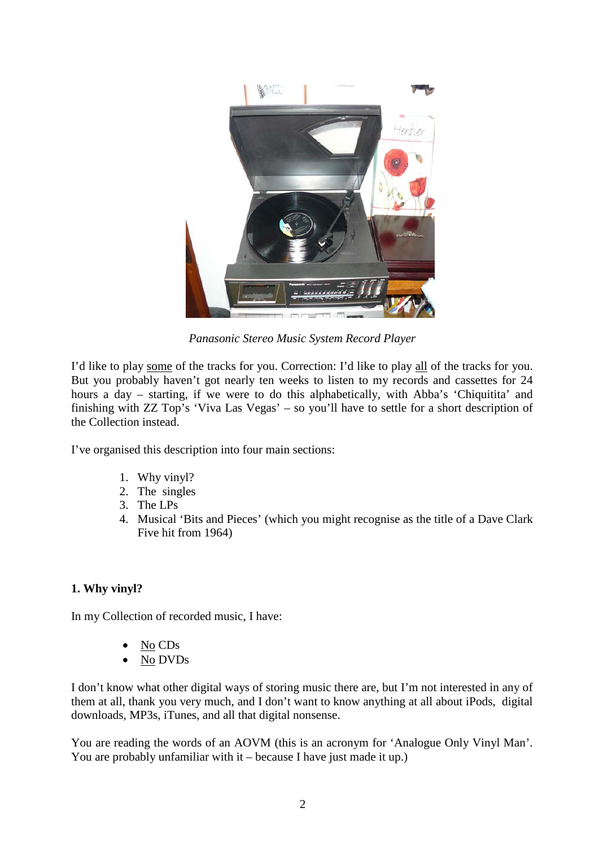

 *Panasonic Stereo Music System Record Player*

I'd like to play some of the tracks for you. Correction: I'd like to play all of the tracks for you. But you probably haven't got nearly ten weeks to listen to my records and cassettes for 24 hours a day – starting, if we were to do this alphabetically, with Abba's 'Chiquitita' and finishing with ZZ Top's 'Viva Las Vegas' – so you'll have to settle for a short description of the Collection instead.

I've organised this description into four main sections:

- 1. Why vinyl?
- 2. The singles
- 3. The LPs
- 4. Musical 'Bits and Pieces' (which you might recognise as the title of a Dave Clark Five hit from 1964)

## **1. Why vinyl?**

In my Collection of recorded music, I have:

- No CD<sub>s</sub>
- No DVDs

I don't know what other digital ways of storing music there are, but I'm not interested in any of them at all, thank you very much, and I don't want to know anything at all about iPods, digital downloads, MP3s, iTunes, and all that digital nonsense.

You are reading the words of an AOVM (this is an acronym for 'Analogue Only Vinyl Man'. You are probably unfamiliar with it – because I have just made it up.)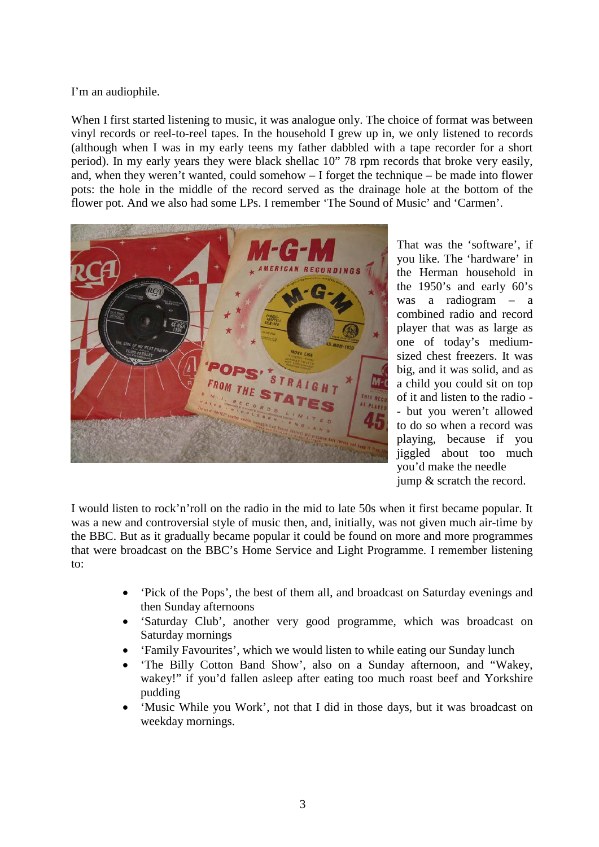I'm an audiophile.

When I first started listening to music, it was analogue only. The choice of format was between vinyl records or reel-to-reel tapes. In the household I grew up in, we only listened to records (although when I was in my early teens my father dabbled with a tape recorder for a short period). In my early years they were black shellac 10" 78 rpm records that broke very easily, and, when they weren't wanted, could somehow – I forget the technique – be made into flower pots: the hole in the middle of the record served as the drainage hole at the bottom of the flower pot. And we also had some LPs. I remember 'The Sound of Music' and 'Carmen'.



That was the 'software', if you like. The 'hardware' in the Herman household in the 1950's and early 60's was a radiogram – a combined radio and record player that was as large as one of today's mediumsized chest freezers. It was big, and it was solid, and as a child you could sit on top of it and listen to the radio - - but you weren't allowed to do so when a record was playing, because if you jiggled about too much you'd make the needle jump & scratch the record.

I would listen to rock'n'roll on the radio in the mid to late 50s when it first became popular. It was a new and controversial style of music then, and, initially, was not given much air-time by the BBC. But as it gradually became popular it could be found on more and more programmes that were broadcast on the BBC's Home Service and Light Programme. I remember listening to:

- 'Pick of the Pops', the best of them all, and broadcast on Saturday evenings and then Sunday afternoons
- 'Saturday Club', another very good programme, which was broadcast on Saturday mornings
- 'Family Favourites', which we would listen to while eating our Sunday lunch
- 'The Billy Cotton Band Show', also on a Sunday afternoon, and "Wakey, wakey!" if you'd fallen asleep after eating too much roast beef and Yorkshire pudding
- 'Music While you Work', not that I did in those days, but it was broadcast on weekday mornings.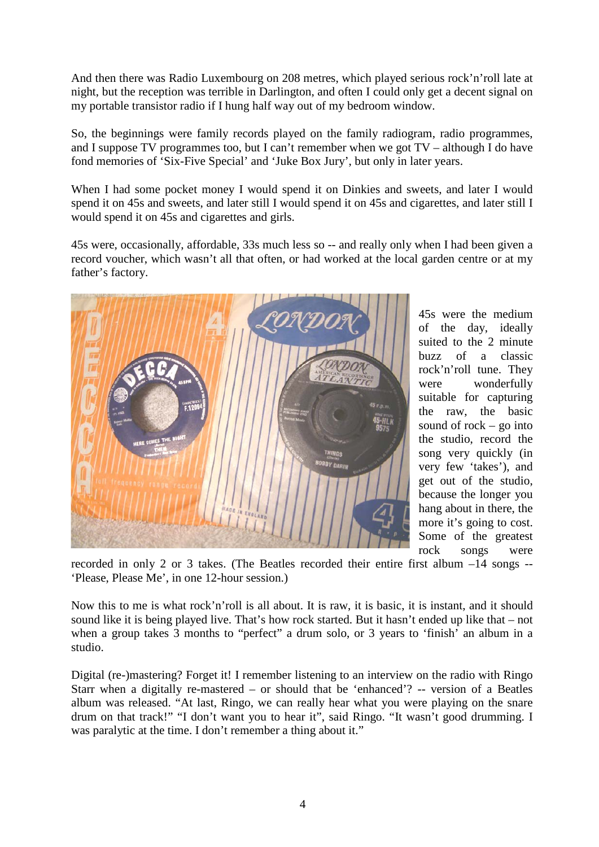And then there was Radio Luxembourg on 208 metres, which played serious rock'n'roll late at night, but the reception was terrible in Darlington, and often I could only get a decent signal on my portable transistor radio if I hung half way out of my bedroom window.

So, the beginnings were family records played on the family radiogram, radio programmes, and I suppose TV programmes too, but I can't remember when we got TV – although I do have fond memories of 'Six-Five Special' and 'Juke Box Jury', but only in later years.

When I had some pocket money I would spend it on Dinkies and sweets, and later I would spend it on 45s and sweets, and later still I would spend it on 45s and cigarettes, and later still I would spend it on 45s and cigarettes and girls.

45s were, occasionally, affordable, 33s much less so -- and really only when I had been given a record voucher, which wasn't all that often, or had worked at the local garden centre or at my father's factory.



45s were the medium of the day, ideally suited to the 2 minute buzz of a classic rock'n'roll tune. They were wonderfully suitable for capturing the raw, the basic sound of rock – go into the studio, record the song very quickly (in very few 'takes'), and get out of the studio, because the longer you hang about in there, the more it's going to cost. Some of the greatest rock songs were

recorded in only 2 or 3 takes. (The Beatles recorded their entire first album –14 songs -- 'Please, Please Me', in one 12-hour session.)

Now this to me is what rock'n'roll is all about. It is raw, it is basic, it is instant, and it should sound like it is being played live. That's how rock started. But it hasn't ended up like that – not when a group takes 3 months to "perfect" a drum solo, or 3 years to 'finish' an album in a studio.

Digital (re-)mastering? Forget it! I remember listening to an interview on the radio with Ringo Starr when a digitally re-mastered – or should that be 'enhanced'? -- version of a Beatles album was released. "At last, Ringo, we can really hear what you were playing on the snare drum on that track!" "I don't want you to hear it", said Ringo. "It wasn't good drumming. I was paralytic at the time. I don't remember a thing about it."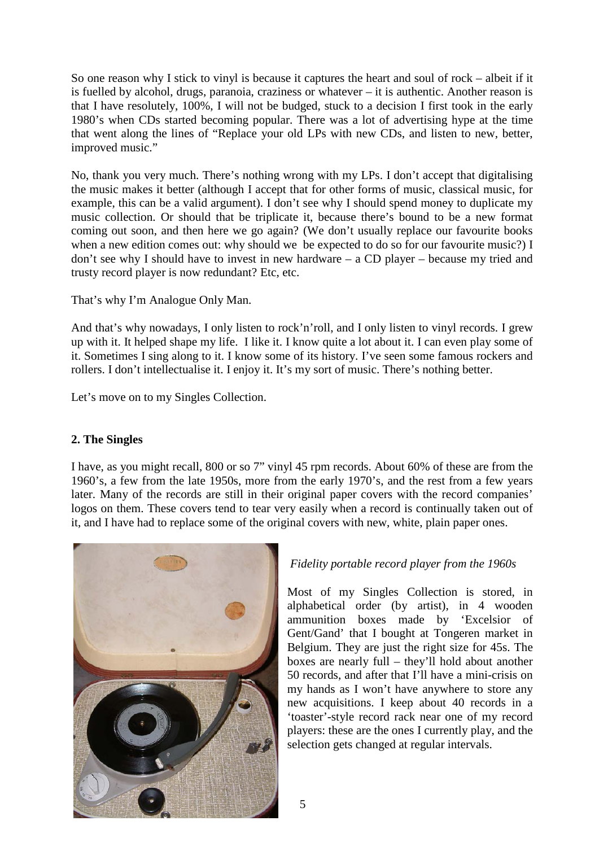So one reason why I stick to vinyl is because it captures the heart and soul of rock – albeit if it is fuelled by alcohol, drugs, paranoia, craziness or whatever – it is authentic. Another reason is that I have resolutely, 100%, I will not be budged, stuck to a decision I first took in the early 1980's when CDs started becoming popular. There was a lot of advertising hype at the time that went along the lines of "Replace your old LPs with new CDs, and listen to new, better, improved music."

No, thank you very much. There's nothing wrong with my LPs. I don't accept that digitalising the music makes it better (although I accept that for other forms of music, classical music, for example, this can be a valid argument). I don't see why I should spend money to duplicate my music collection. Or should that be triplicate it, because there's bound to be a new format coming out soon, and then here we go again? (We don't usually replace our favourite books when a new edition comes out: why should we be expected to do so for our favourite music?) I don't see why I should have to invest in new hardware – a CD player – because my tried and trusty record player is now redundant? Etc, etc.

That's why I'm Analogue Only Man.

And that's why nowadays, I only listen to rock'n'roll, and I only listen to vinyl records. I grew up with it. It helped shape my life. I like it. I know quite a lot about it. I can even play some of it. Sometimes I sing along to it. I know some of its history. I've seen some famous rockers and rollers. I don't intellectualise it. I enjoy it. It's my sort of music. There's nothing better.

Let's move on to my Singles Collection.

#### **2. The Singles**

I have, as you might recall, 800 or so 7" vinyl 45 rpm records. About 60% of these are from the 1960's, a few from the late 1950s, more from the early 1970's, and the rest from a few years later. Many of the records are still in their original paper covers with the record companies' logos on them. These covers tend to tear very easily when a record is continually taken out of it, and I have had to replace some of the original covers with new, white, plain paper ones.



#### *Fidelity portable record player from the 1960s*

Most of my Singles Collection is stored, in alphabetical order (by artist), in 4 wooden ammunition boxes made by 'Excelsior of Gent/Gand' that I bought at Tongeren market in Belgium. They are just the right size for 45s. The boxes are nearly full – they'll hold about another 50 records, and after that I'll have a mini-crisis on my hands as I won't have anywhere to store any new acquisitions. I keep about 40 records in a 'toaster'-style record rack near one of my record players: these are the ones I currently play, and the selection gets changed at regular intervals.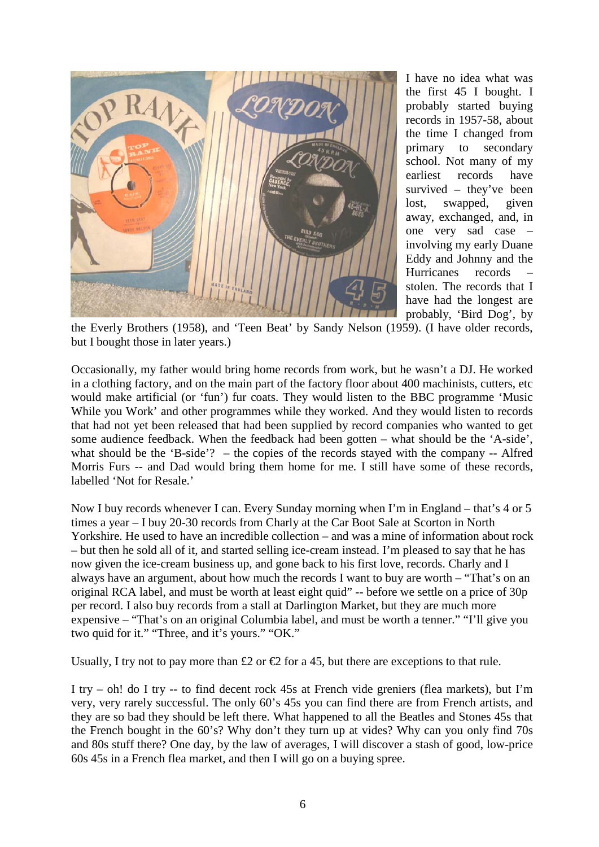

I have no idea what was the first 45 I bought. I probably started buying records in 1957-58, about the time I changed from primary to secondary school. Not many of my earliest records have survived – they've been lost, swapped, given away, exchanged, and, in one very sad case – involving my early Duane Eddy and Johnny and the Hurricanes records – stolen. The records that I have had the longest are probably, 'Bird Dog', by

the Everly Brothers (1958), and 'Teen Beat' by Sandy Nelson (1959). (I have older records, but I bought those in later years.)

Occasionally, my father would bring home records from work, but he wasn't a DJ. He worked in a clothing factory, and on the main part of the factory floor about 400 machinists, cutters, etc would make artificial (or 'fun') fur coats. They would listen to the BBC programme 'Music While you Work' and other programmes while they worked. And they would listen to records that had not yet been released that had been supplied by record companies who wanted to get some audience feedback. When the feedback had been gotten – what should be the 'A-side', what should be the 'B-side'? – the copies of the records stayed with the company -- Alfred Morris Furs -- and Dad would bring them home for me. I still have some of these records, labelled 'Not for Resale.'

Now I buy records whenever I can. Every Sunday morning when I'm in England – that's 4 or 5 times a year – I buy 20-30 records from Charly at the Car Boot Sale at Scorton in North Yorkshire. He used to have an incredible collection – and was a mine of information about rock – but then he sold all of it, and started selling ice-cream instead. I'm pleased to say that he has now given the ice-cream business up, and gone back to his first love, records. Charly and I always have an argument, about how much the records I want to buy are worth – "That's on an original RCA label, and must be worth at least eight quid" -- before we settle on a price of 30p per record. I also buy records from a stall at Darlington Market, but they are much more expensive – "That's on an original Columbia label, and must be worth a tenner." "I'll give you two quid for it." "Three, and it's yours." "OK."

Usually, I try not to pay more than £2 or  $\bigoplus$  for a 45, but there are exceptions to that rule.

I try – oh! do I try -- to find decent rock 45s at French vide greniers (flea markets), but I'm very, very rarely successful. The only 60's 45s you can find there are from French artists, and they are so bad they should be left there. What happened to all the Beatles and Stones 45s that the French bought in the 60's? Why don't they turn up at vides? Why can you only find 70s and 80s stuff there? One day, by the law of averages, I will discover a stash of good, low-price 60s 45s in a French flea market, and then I will go on a buying spree.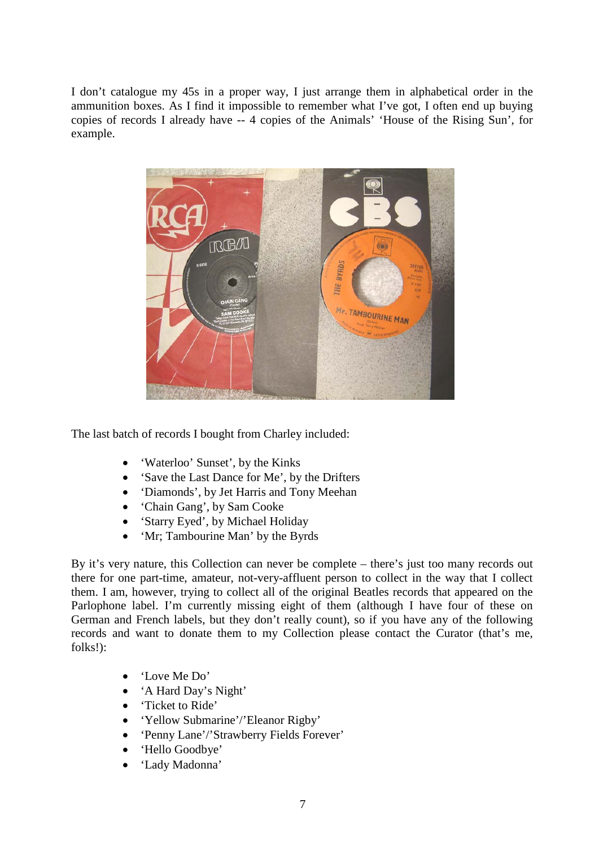I don't catalogue my 45s in a proper way, I just arrange them in alphabetical order in the ammunition boxes. As I find it impossible to remember what I've got, I often end up buying copies of records I already have -- 4 copies of the Animals' 'House of the Rising Sun', for example.



The last batch of records I bought from Charley included:

- 'Waterloo' Sunset', by the Kinks
- 'Save the Last Dance for Me', by the Drifters
- 'Diamonds', by Jet Harris and Tony Meehan
- 'Chain Gang', by Sam Cooke
- 'Starry Eyed', by Michael Holiday
- 'Mr; Tambourine Man' by the Byrds

By it's very nature, this Collection can never be complete – there's just too many records out there for one part-time, amateur, not-very-affluent person to collect in the way that I collect them. I am, however, trying to collect all of the original Beatles records that appeared on the Parlophone label. I'm currently missing eight of them (although I have four of these on German and French labels, but they don't really count), so if you have any of the following records and want to donate them to my Collection please contact the Curator (that's me, folks!):

- 'Love Me Do'
- 'A Hard Day's Night'
- 'Ticket to Ride'
- 'Yellow Submarine'/'Eleanor Rigby'
- 'Penny Lane'/'Strawberry Fields Forever'
- 'Hello Goodbye'
- 'Lady Madonna'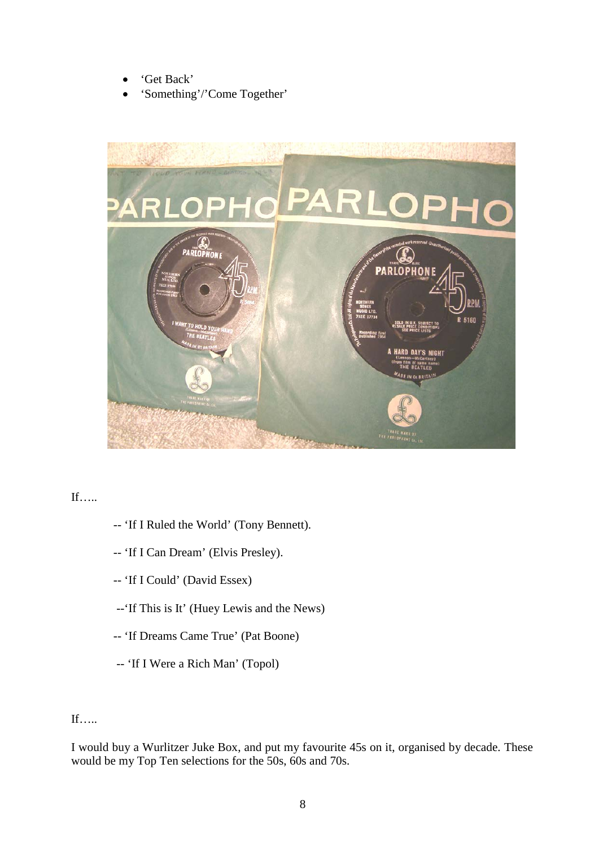- 'Get Back'
- 'Something'/'Come Together'



# $If \ldots$

- -- 'If I Ruled the World' (Tony Bennett).
- -- 'If I Can Dream' (Elvis Presley).
- -- 'If I Could' (David Essex)
- --'If This is It' (Huey Lewis and the News)
- -- 'If Dreams Came True' (Pat Boone)
- -- 'If I Were a Rich Man' (Topol)

## If…..

I would buy a Wurlitzer Juke Box, and put my favourite 45s on it, organised by decade. These would be my Top Ten selections for the 50s, 60s and 70s.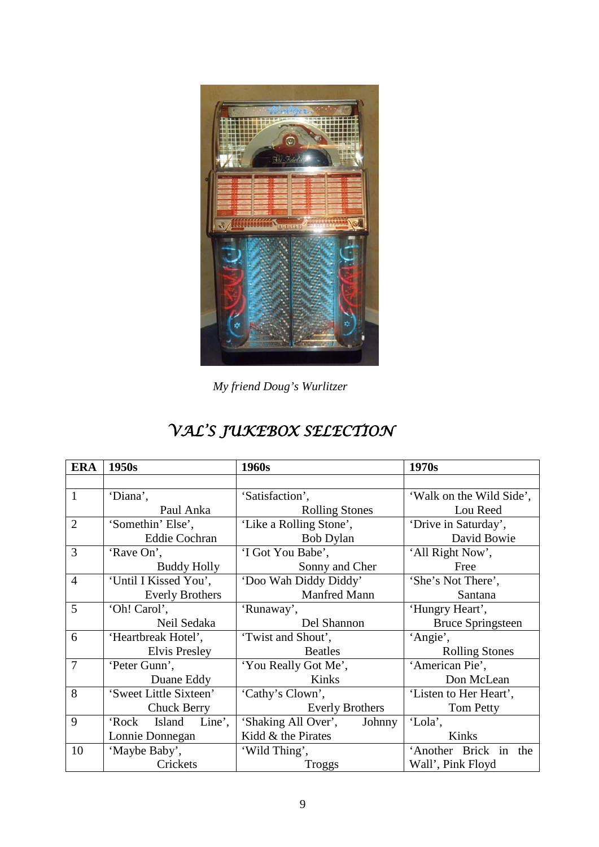

*My friend Doug's Wurlitzer*

# *VAL'S JUKEBOX SELECTION*

| <b>ERA</b>     | 1950s                  | 1960s                      | 1970s                    |
|----------------|------------------------|----------------------------|--------------------------|
|                |                        |                            |                          |
| $\mathbf{1}$   | 'Diana',               | 'Satisfaction',            | 'Walk on the Wild Side', |
|                | Paul Anka              | <b>Rolling Stones</b>      | Lou Reed                 |
| $\overline{2}$ | 'Somethin' Else',      | 'Like a Rolling Stone',    | 'Drive in Saturday',     |
|                | <b>Eddie Cochran</b>   | <b>Bob Dylan</b>           | David Bowie              |
| 3              | 'Rave On',             | 'I Got You Babe',          | 'All Right Now',         |
|                | <b>Buddy Holly</b>     | Sonny and Cher             | Free                     |
| $\overline{4}$ | 'Until I Kissed You',  | 'Doo Wah Diddy Diddy'      | 'She's Not There',       |
|                | <b>Everly Brothers</b> | Manfred Mann               | Santana                  |
| 5              | 'Oh! Carol',           | 'Runaway',                 | 'Hungry Heart',          |
|                | Neil Sedaka            | Del Shannon                | <b>Bruce Springsteen</b> |
| 6              | 'Heartbreak Hotel',    | 'Twist and Shout',         | 'Angie',                 |
|                | Elvis Presley          | <b>Beatles</b>             | <b>Rolling Stones</b>    |
| $\overline{7}$ | 'Peter Gunn',          | 'You Really Got Me',       | 'American Pie',          |
|                | Duane Eddy             | Kinks                      | Don McLean               |
| 8              | 'Sweet Little Sixteen' | 'Cathy's Clown',           | 'Listen to Her Heart',   |
|                | <b>Chuck Berry</b>     | <b>Everly Brothers</b>     | <b>Tom Petty</b>         |
| 9              | 'Rock Island Line',    | 'Shaking All Over', Johnny | 'Lola',                  |
|                | Lonnie Donnegan        | Kidd & the Pirates         | Kinks                    |
| 10             | 'Maybe Baby',          | 'Wild Thing',              | 'Another Brick in<br>the |
|                | Crickets               | <b>Troggs</b>              | Wall', Pink Floyd        |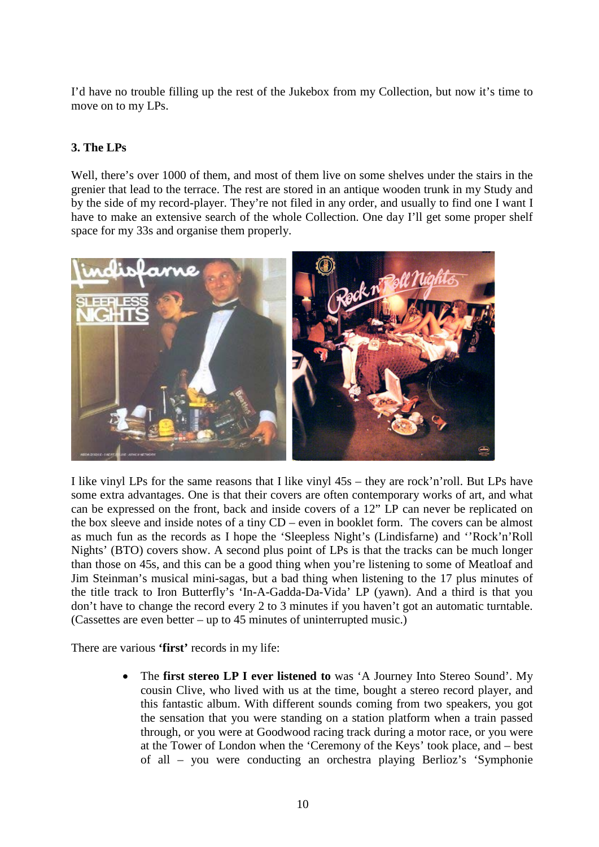I'd have no trouble filling up the rest of the Jukebox from my Collection, but now it's time to move on to my LPs.

# **3. The LPs**

Well, there's over 1000 of them, and most of them live on some shelves under the stairs in the grenier that lead to the terrace. The rest are stored in an antique wooden trunk in my Study and by the side of my record-player. They're not filed in any order, and usually to find one I want I have to make an extensive search of the whole Collection. One day I'll get some proper shelf space for my 33s and organise them properly.



I like vinyl LPs for the same reasons that I like vinyl 45s – they are rock'n'roll. But LPs have some extra advantages. One is that their covers are often contemporary works of art, and what can be expressed on the front, back and inside covers of a 12" LP can never be replicated on the box sleeve and inside notes of a tiny CD – even in booklet form. The covers can be almost as much fun as the records as I hope the 'Sleepless Night's (Lindisfarne) and ''Rock'n'Roll Nights' (BTO) covers show. A second plus point of LPs is that the tracks can be much longer than those on 45s, and this can be a good thing when you're listening to some of Meatloaf and Jim Steinman's musical mini-sagas, but a bad thing when listening to the 17 plus minutes of the title track to Iron Butterfly's 'In-A-Gadda-Da-Vida' LP (yawn). And a third is that you don't have to change the record every 2 to 3 minutes if you haven't got an automatic turntable. (Cassettes are even better – up to 45 minutes of uninterrupted music.)

There are various **'first'** records in my life:

• The **first stereo LP I ever listened to** was 'A Journey Into Stereo Sound'. My cousin Clive, who lived with us at the time, bought a stereo record player, and this fantastic album. With different sounds coming from two speakers, you got the sensation that you were standing on a station platform when a train passed through, or you were at Goodwood racing track during a motor race, or you were at the Tower of London when the 'Ceremony of the Keys' took place, and – best of all – you were conducting an orchestra playing Berlioz's 'Symphonie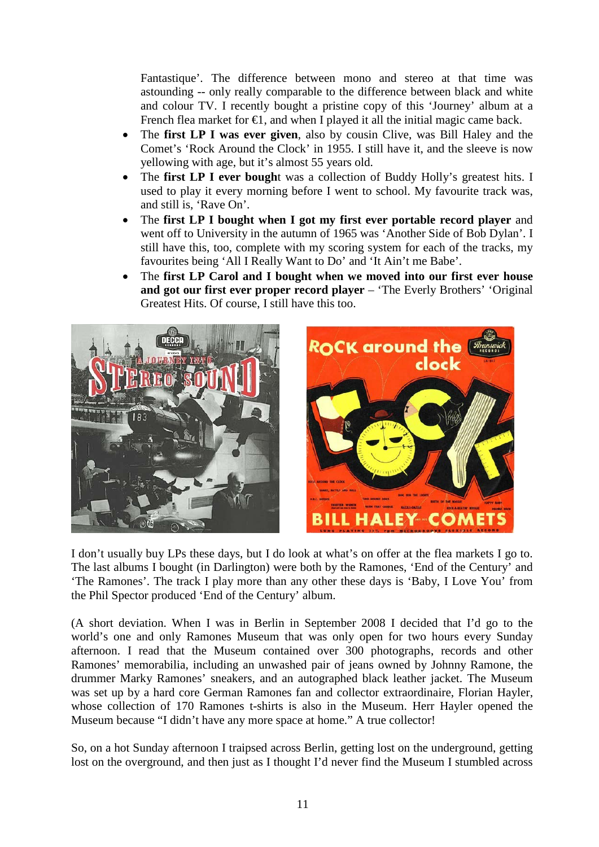Fantastique'. The difference between mono and stereo at that time was astounding -- only really comparable to the difference between black and white and colour TV. I recently bought a pristine copy of this 'Journey' album at a French flea market for  $\bigoplus$ , and when I played it all the initial magic came back.

- The **first LP I was ever given**, also by cousin Clive, was Bill Haley and the Comet's 'Rock Around the Clock' in 1955. I still have it, and the sleeve is now yellowing with age, but it's almost 55 years old.
- The **first LP I ever bough**t was a collection of Buddy Holly's greatest hits. I used to play it every morning before I went to school. My favourite track was, and still is, 'Rave On'.
- The **first LP I bought when I got my first ever portable record player** and went off to University in the autumn of 1965 was 'Another Side of Bob Dylan'. I still have this, too, complete with my scoring system for each of the tracks, my favourites being 'All I Really Want to Do' and 'It Ain't me Babe'.
- The **first LP Carol and I bought when we moved into our first ever house and got our first ever proper record player** – 'The Everly Brothers' 'Original Greatest Hits. Of course, I still have this too.





I don't usually buy LPs these days, but I do look at what's on offer at the flea markets I go to. The last albums I bought (in Darlington) were both by the Ramones, 'End of the Century' and 'The Ramones'. The track I play more than any other these days is 'Baby, I Love You' from the Phil Spector produced 'End of the Century' album.

(A short deviation. When I was in Berlin in September 2008 I decided that I'd go to the world's one and only Ramones Museum that was only open for two hours every Sunday afternoon. I read that the Museum contained over 300 photographs, records and other Ramones' memorabilia, including an unwashed pair of jeans owned by Johnny Ramone, the drummer Marky Ramones' sneakers, and an autographed black leather jacket. The Museum was set up by a hard core German Ramones fan and collector extraordinaire, Florian Hayler, whose collection of 170 Ramones t-shirts is also in the Museum. Herr Hayler opened the Museum because "I didn't have any more space at home." A true collector!

So, on a hot Sunday afternoon I traipsed across Berlin, getting lost on the underground, getting lost on the overground, and then just as I thought I'd never find the Museum I stumbled across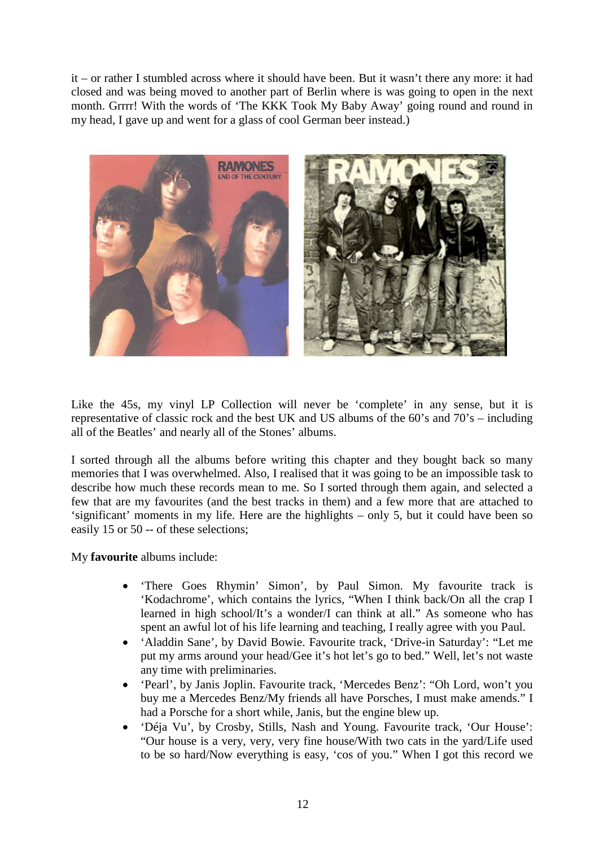it – or rather I stumbled across where it should have been. But it wasn't there any more: it had closed and was being moved to another part of Berlin where is was going to open in the next month. Grrrr! With the words of 'The KKK Took My Baby Away' going round and round in my head, I gave up and went for a glass of cool German beer instead.)



Like the 45s, my vinyl LP Collection will never be 'complete' in any sense, but it is representative of classic rock and the best UK and US albums of the 60's and 70's – including all of the Beatles' and nearly all of the Stones' albums.

I sorted through all the albums before writing this chapter and they bought back so many memories that I was overwhelmed. Also, I realised that it was going to be an impossible task to describe how much these records mean to me. So I sorted through them again, and selected a few that are my favourites (and the best tracks in them) and a few more that are attached to 'significant' moments in my life. Here are the highlights – only 5, but it could have been so easily 15 or 50 -- of these selections;

My **favourite** albums include:

- 'There Goes Rhymin' Simon', by Paul Simon. My favourite track is 'Kodachrome', which contains the lyrics, "When I think back/On all the crap I learned in high school/It's a wonder/I can think at all." As someone who has spent an awful lot of his life learning and teaching, I really agree with you Paul.
- 'Aladdin Sane', by David Bowie. Favourite track, 'Drive-in Saturday': "Let me put my arms around your head/Gee it's hot let's go to bed." Well, let's not waste any time with preliminaries.
- 'Pearl', by Janis Joplin. Favourite track, 'Mercedes Benz': "Oh Lord, won't you buy me a Mercedes Benz/My friends all have Porsches, I must make amends." I had a Porsche for a short while, Janis, but the engine blew up.
- 'Déja Vu', by Crosby, Stills, Nash and Young. Favourite track, 'Our House': "Our house is a very, very, very fine house/With two cats in the yard/Life used to be so hard/Now everything is easy, 'cos of you." When I got this record we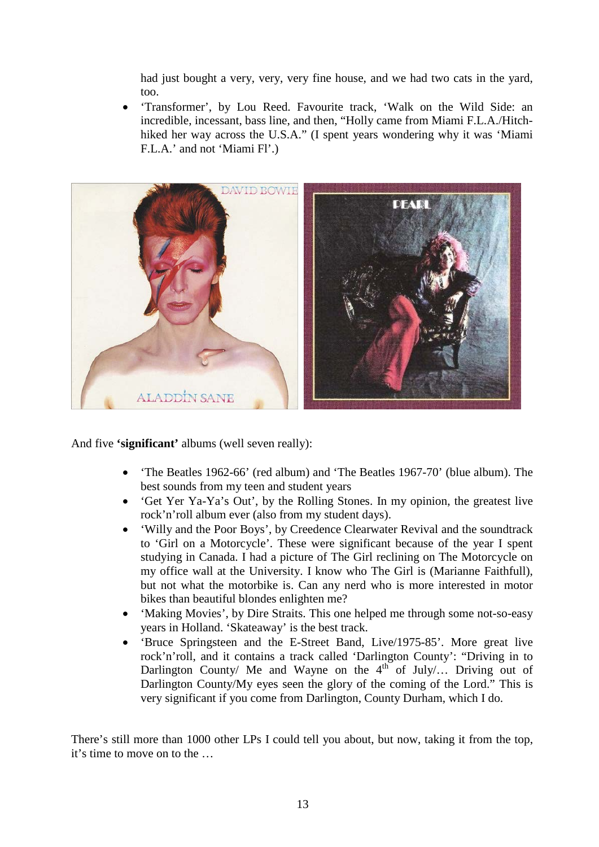had just bought a very, very, very fine house, and we had two cats in the yard, too.

• 'Transformer', by Lou Reed. Favourite track, 'Walk on the Wild Side: an incredible, incessant, bass line, and then, "Holly came from Miami F.L.A./Hitchhiked her way across the U.S.A." (I spent years wondering why it was 'Miami F.L.A.' and not 'Miami Fl'.)



And five **'significant'** albums (well seven really):

- 'The Beatles 1962-66' (red album) and 'The Beatles 1967-70' (blue album). The best sounds from my teen and student years
- 'Get Yer Ya-Ya's Out', by the Rolling Stones. In my opinion, the greatest live rock'n'roll album ever (also from my student days).
- 'Willy and the Poor Boys', by Creedence Clearwater Revival and the soundtrack to 'Girl on a Motorcycle'. These were significant because of the year I spent studying in Canada. I had a picture of The Girl reclining on The Motorcycle on my office wall at the University. I know who The Girl is (Marianne Faithfull), but not what the motorbike is. Can any nerd who is more interested in motor bikes than beautiful blondes enlighten me?
- 'Making Movies', by Dire Straits. This one helped me through some not-so-easy years in Holland. 'Skateaway' is the best track.
- 'Bruce Springsteen and the E-Street Band, Live/1975-85'. More great live rock'n'roll, and it contains a track called 'Darlington County': "Driving in to Darlington County/ Me and Wayne on the  $4<sup>th</sup>$  of July/... Driving out of Darlington County/My eyes seen the glory of the coming of the Lord." This is very significant if you come from Darlington, County Durham, which I do.

There's still more than 1000 other LPs I could tell you about, but now, taking it from the top, it's time to move on to the …